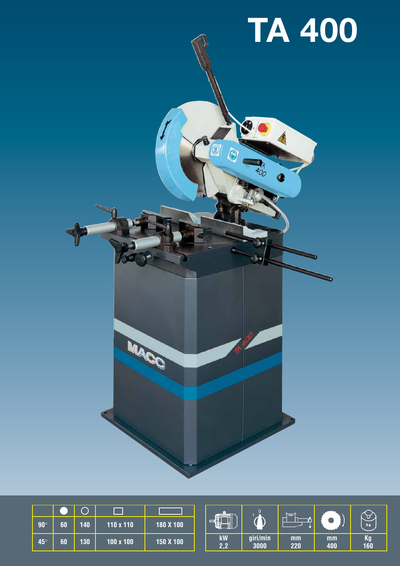

|            |    |     |           |           | m. |           | max.             |           | Kg        |           |
|------------|----|-----|-----------|-----------|----|-----------|------------------|-----------|-----------|-----------|
| $90^\circ$ | 60 | 140 | 110 x 110 | 180 X 100 |    |           |                  |           |           |           |
| <b>45°</b> | 60 | 130 | 100 x 100 | 150 X 100 |    | kW<br>2,2 | giri/min<br>3000 | mm<br>220 | mm<br>400 | Kg<br>160 |